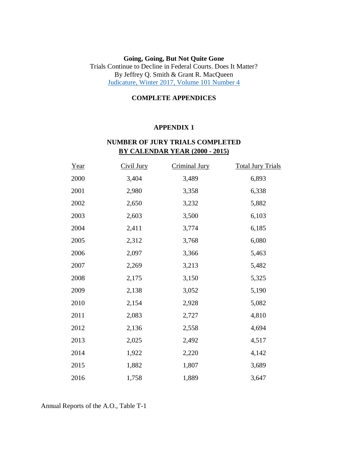#### **Going, Going, But Not Quite Gone** Trials Continue to Decline in Federal Courts. Does It Matter? By Jeffrey Q. Smith & Grant R. MacQueen [Judicature, Winter 2017, Volume 101 Number 4](https://judicialstudies.duke.edu/wp-content/uploads/2018/01/JUDICATURE101.4-vanishing.pdf)

#### **COMPLETE APPENDICES**

#### **APPENDIX 1**

### **NUMBER OF JURY TRIALS COMPLETED BY CALENDAR YEAR (2000 - 2015)**

| Year | Civil Jury | Criminal Jury | <b>Total Jury Trials</b> |
|------|------------|---------------|--------------------------|
| 2000 | 3,404      | 3,489         | 6,893                    |
| 2001 | 2,980      | 3,358         | 6,338                    |
| 2002 | 2,650      | 3,232         | 5,882                    |
| 2003 | 2,603      | 3,500         | 6,103                    |
| 2004 | 2,411      | 3,774         | 6,185                    |
| 2005 | 2,312      | 3,768         | 6,080                    |
| 2006 | 2,097      | 3,366         | 5,463                    |
| 2007 | 2,269      | 3,213         | 5,482                    |
| 2008 | 2,175      | 3,150         | 5,325                    |
| 2009 | 2,138      | 3,052         | 5,190                    |
| 2010 | 2,154      | 2,928         | 5,082                    |
| 2011 | 2,083      | 2,727         | 4,810                    |
| 2012 | 2,136      | 2,558         | 4,694                    |
| 2013 | 2,025      | 2,492         | 4,517                    |
| 2014 | 1,922      | 2,220         | 4,142                    |
| 2015 | 1,882      | 1,807         | 3,689                    |
| 2016 | 1,758      | 1,889         | 3,647                    |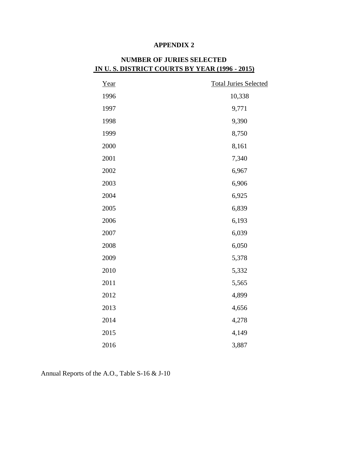| Year | <b>Total Juries Selected</b> |
|------|------------------------------|
| 1996 | 10,338                       |
| 1997 | 9,771                        |
| 1998 | 9,390                        |
| 1999 | 8,750                        |
| 2000 | 8,161                        |
| 2001 | 7,340                        |
| 2002 | 6,967                        |
| 2003 | 6,906                        |
| 2004 | 6,925                        |
| 2005 | 6,839                        |
| 2006 | 6,193                        |
| 2007 | 6,039                        |
| 2008 | 6,050                        |
| 2009 | 5,378                        |
| 2010 | 5,332                        |
| 2011 | 5,565                        |
| 2012 | 4,899                        |
| 2013 | 4,656                        |
| 2014 | 4,278                        |
| 2015 | 4,149                        |
| 2016 | 3,887                        |

# **NUMBER OF JURIES SELECTED IN U. S. DISTRICT COURTS BY YEAR (1996 - 2015)**

Annual Reports of the A.O., Table S-16 & J-10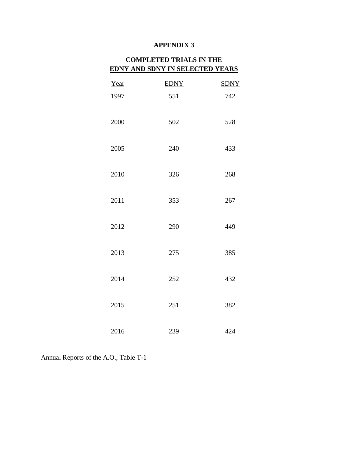# **COMPLETED TRIALS IN THE EDNY AND SDNY IN SELECTED YEARS**

| Year | <b>EDNY</b> | <b>SDNY</b> |
|------|-------------|-------------|
| 1997 | 551         | 742         |
| 2000 | 502         | 528         |
| 2005 | 240         | 433         |
| 2010 | 326         | 268         |
| 2011 | 353         | 267         |
| 2012 | 290         | 449         |
| 2013 | 275         | 385         |
| 2014 | 252         | 432         |
| 2015 | 251         | 382         |
| 2016 | 239         | 424         |

Annual Reports of the A.O., Table T-1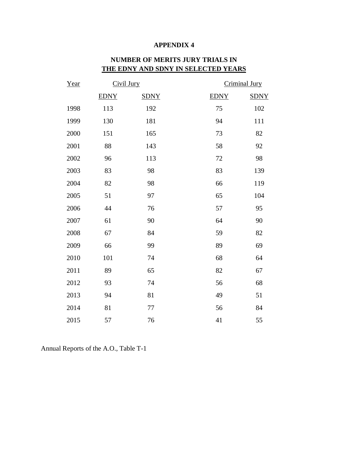| Year | Civil Jury  |             |             | Criminal Jury |
|------|-------------|-------------|-------------|---------------|
|      | <b>EDNY</b> | <b>SDNY</b> | <b>EDNY</b> | <b>SDNY</b>   |
| 1998 | 113         | 192         | 75          | 102           |
| 1999 | 130         | 181         | 94          | 111           |
| 2000 | 151         | 165         | 73          | 82            |
| 2001 | 88          | 143         | 58          | 92            |
| 2002 | 96          | 113         | $72\,$      | 98            |
| 2003 | 83          | 98          | 83          | 139           |
| 2004 | 82          | 98          | 66          | 119           |
| 2005 | 51          | 97          | 65          | 104           |
| 2006 | 44          | 76          | 57          | 95            |
| 2007 | 61          | 90          | 64          | 90            |
| 2008 | 67          | 84          | 59          | 82            |
| 2009 | 66          | 99          | 89          | 69            |
| 2010 | 101         | 74          | 68          | 64            |
| 2011 | 89          | 65          | 82          | 67            |
| 2012 | 93          | 74          | 56          | 68            |
| 2013 | 94          | 81          | 49          | 51            |
| 2014 | 81          | 77          | 56          | 84            |
| 2015 | 57          | 76          | 41          | 55            |

# **NUMBER OF MERITS JURY TRIALS IN THE EDNY AND SDNY IN SELECTED YEARS**

Annual Reports of the A.O., Table T-1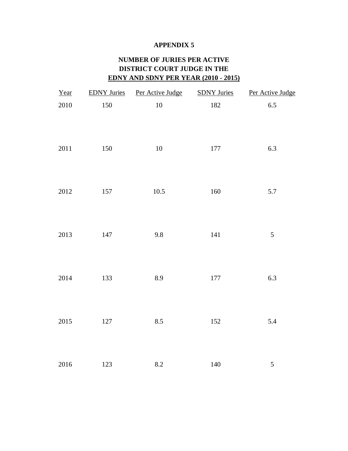# **NUMBER OF JURIES PER ACTIVE DISTRICT COURT JUDGE IN THE EDNY AND SDNY PER YEAR (2010 - 2015)**

| Year     |         | EDNY Juries Per Active Judge SDNY Juries |         | Per Active Judge |
|----------|---------|------------------------------------------|---------|------------------|
| $2010\,$ | 150     | $10\,$                                   | 182     | $6.5\,$          |
| $2011\,$ | 150     | 10                                       | $177\,$ | 6.3              |
| 2012     | 157     | $10.5\,$                                 | 160     | 5.7              |
| 2013     | 147     | $9.8\,$                                  | $141\,$ | $\sqrt{5}$       |
| 2014     | 133     | 8.9                                      | $177\,$ | 6.3              |
| 2015     | $127\,$ | 8.5                                      | 152     | 5.4              |
| 2016     | 123     | $\ \ 8.2$                                | $140\,$ | 5                |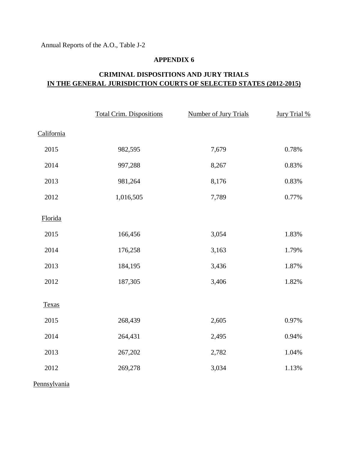Annual Reports of the A.O., Table J-2

### **APPENDIX 6**

# **CRIMINAL DISPOSITIONS AND JURY TRIALS IN THE GENERAL JURISDICTION COURTS OF SELECTED STATES (2012-2015)**

|              | <b>Total Crim. Dispositions</b> | <b>Number of Jury Trials</b> | Jury Trial % |
|--------------|---------------------------------|------------------------------|--------------|
| California   |                                 |                              |              |
| 2015         | 982,595                         | 7,679                        | 0.78%        |
| 2014         | 997,288                         | 8,267                        | 0.83%        |
| 2013         | 981,264                         | 8,176                        | 0.83%        |
| 2012         | 1,016,505                       | 7,789                        | 0.77%        |
| Florida      |                                 |                              |              |
| 2015         | 166,456                         | 3,054                        | 1.83%        |
| 2014         | 176,258                         | 3,163                        | 1.79%        |
| 2013         | 184,195                         | 3,436                        | 1.87%        |
| 2012         | 187,305                         | 3,406                        | 1.82%        |
| <b>Texas</b> |                                 |                              |              |
| 2015         | 268,439                         | 2,605                        | 0.97%        |
| 2014         | 264,431                         | 2,495                        | 0.94%        |
| 2013         | 267,202                         | 2,782                        | $1.04\%$     |
| 2012         | 269,278                         | 3,034                        | 1.13%        |
|              |                                 |                              |              |

Pennsylvania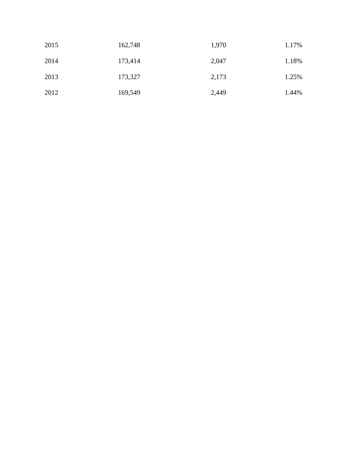| 2015 | 162,748 | 1,970 | 1.17% |
|------|---------|-------|-------|
| 2014 | 173,414 | 2,047 | 1.18% |
| 2013 | 173,327 | 2,173 | 1.25% |
| 2012 | 169,549 | 2,449 | 1.44% |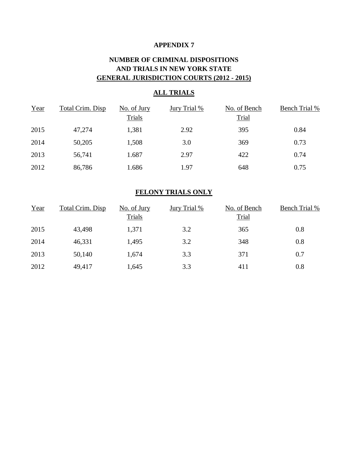# **NUMBER OF CRIMINAL DISPOSITIONS AND TRIALS IN NEW YORK STATE GENERAL JURISDICTION COURTS (2012 - 2015)**

### **ALL TRIALS**

| Year | Total Crim. Disp | No. of Jury | Jury Trial % | No. of Bench | <b>Bench Trial %</b> |
|------|------------------|-------------|--------------|--------------|----------------------|
|      |                  | Trials      |              | <b>Trial</b> |                      |
| 2015 | 47,274           | 1,381       | 2.92         | 395          | 0.84                 |
| 2014 | 50,205           | 1,508       | 3.0          | 369          | 0.73                 |
| 2013 | 56,741           | 1.687       | 2.97         | 422          | 0.74                 |
| 2012 | 86,786           | 1.686       | 1.97         | 648          | 0.75                 |

## **FELONY TRIALS ONLY**

| Year | Total Crim. Disp | No. of Jury<br>Trials | Jury Trial % | No. of Bench<br><b>Trial</b> | <b>Bench Trial %</b> |
|------|------------------|-----------------------|--------------|------------------------------|----------------------|
| 2015 | 43,498           | 1,371                 | 3.2          | 365                          | 0.8                  |
| 2014 | 46,331           | 1,495                 | 3.2          | 348                          | 0.8                  |
| 2013 | 50,140           | 1,674                 | 3.3          | 371                          | 0.7                  |
| 2012 | 49,417           | 1,645                 | 3.3          | 411                          | 0.8                  |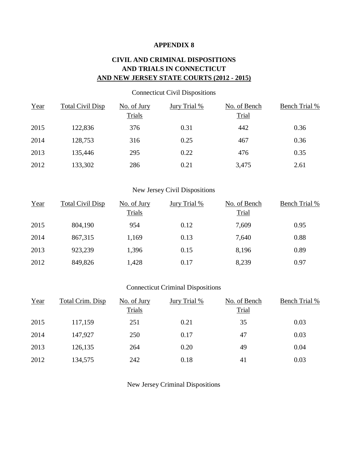## **CIVIL AND CRIMINAL DISPOSITIONS AND TRIALS IN CONNECTICUT AND NEW JERSEY STATE COURTS (2012 - 2015)**

### Connecticut Civil Dispositions

| Year | Total Civil Disp | No. of Jury<br>Trials | Jury Trial % | No. of Bench<br><b>Trial</b> | <b>Bench Trial %</b> |
|------|------------------|-----------------------|--------------|------------------------------|----------------------|
|      |                  |                       |              |                              |                      |
| 2015 | 122,836          | 376                   | 0.31         | 442                          | 0.36                 |
| 2014 | 128,753          | 316                   | 0.25         | 467                          | 0.36                 |
| 2013 | 135,446          | 295                   | 0.22         | 476                          | 0.35                 |
| 2012 | 133,302          | 286                   | 0.21         | 3,475                        | 2.61                 |

### New Jersey Civil Dispositions

| Year | <b>Total Civil Disp</b> | No. of Jury | Jury Trial % | No. of Bench | <b>Bench Trial %</b> |
|------|-------------------------|-------------|--------------|--------------|----------------------|
|      |                         | Trials      |              | <b>Trial</b> |                      |
| 2015 | 804,190                 | 954         | 0.12         | 7,609        | 0.95                 |
| 2014 | 867,315                 | 1,169       | 0.13         | 7,640        | 0.88                 |
| 2013 | 923,239                 | 1,396       | 0.15         | 8,196        | 0.89                 |
| 2012 | 849,826                 | 1,428       | 0.17         | 8,239        | 0.97                 |

### Connecticut Criminal Dispositions

| Year | Total Crim. Disp | No. of Jury | Jury Trial % | No. of Bench | <b>Bench Trial %</b> |
|------|------------------|-------------|--------------|--------------|----------------------|
|      |                  | Trials      |              | <b>Trial</b> |                      |
| 2015 | 117,159          | 251         | 0.21         | 35           | 0.03                 |
| 2014 | 147,927          | 250         | 0.17         | 47           | 0.03                 |
| 2013 | 126,135          | 264         | 0.20         | 49           | 0.04                 |
| 2012 | 134,575          | 242         | 0.18         | 41           | 0.03                 |

New Jersey Criminal Dispositions